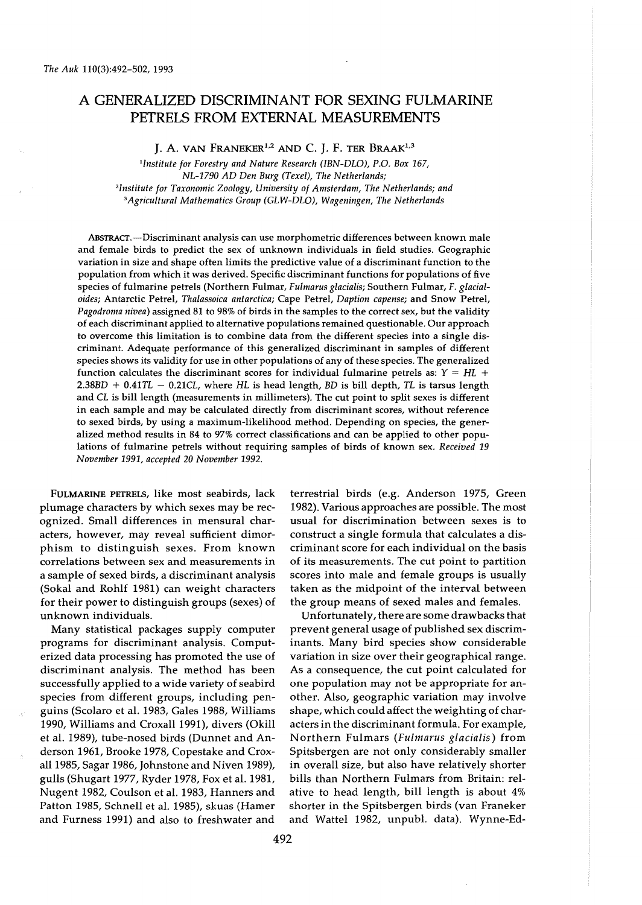# A GENERALIZED DISCRIMINANT FOR SEXING FULMARINE PETRELS FROM EXTERNAL MEASUREMENTS

J. A. van Franeker<sup>1,2</sup> and C. J. F. ter Braak<sup>1,3</sup>

*'Institute for Forestry and Nature Research (IBN-DLO), P.O. Box 167, NL-1790 AD Den Burg (Texel), The Netherlands; 2 lnstitute for Taxonomic Zoology, University of Amsterdam, The Netherlands; and 3Agricultural Mathematics Group (GLW-DLO), Wageningen, The Netherlands* 

ABSTRACT.-Discriminant analysis can use morphometric differences between known male and female birds to predict the sex of unknown individuals in field studies. Geographic variation in size and shape often limits the predictive value of a discriminant function to the population from which it was derived. Specific discriminant functions for populations of five species of fulmarine petrels (Northern Fulmar, *Fulmarus glacialis;* Southern Fulmar, *F. glacialoides;* Antarctic Petrel, *Thalassoica antarctica;* Cape Petrel, *Daption capense;* and Snow Petrel, *Pagodroma nivea)* assigned 81 to 98% of birds in the samples to the correct sex, but the validity of each discriminant applied to alternative populations remained questionable. Our approach to overcome this limitation is to combine data from the different species into a single discriminant. Adequate performance of this generalized discriminant in samples of different species shows its validity for use in other populations of any of these species. The generalized function calculates the discriminant scores for individual fulmarine petrels as:  $Y = HL +$ 2.38BD + 0.41 *TL* - 0.21CL, where *HL* is head length, *BD* is bill depth, *TL* is tarsus length and CL is bill length (measurements in millimeters). The cut point to split sexes is different in each sample and may be calculated directly from discriminant scores, without reference to sexed birds, by using a maximum-likelihood method. Depending on species, the generalized method results in 84 to 97% correct classifications and can be applied to other populations of fulmarine petrels without requiring samples of birds of known sex. *Received 19 November 1991, accepted* 20 *November 1992.* 

FULMARINE PETRELS, like most seabirds, lack plumage characters by which sexes may be recognized. Small differences in mensural characters, however, may reveal sufficient dimorphism to distinguish sexes. From known correlations between sex and measurements in a sample of sexed birds, a discriminant analysis (Sokal and Rohlf 1981) can weight characters for their power to distinguish groups (sexes) of unknown individuals.

Many statistical packages supply computer programs for discriminant analysis. Computerized data processing has promoted the use of discriminant analysis. The method has been successfully applied to a wide variety of seabird species from different groups, including penguins (Scolaro et al. 1983, Gales 1988, Williams 1990, Williams and Croxall 1991), divers (Okill et al. 1989), tube-nosed birds (Dunnet and Anderson 1961, Brooke 1978, Copestake and Croxall 1985, Sagar 1986, Johnstone and Niven 1989), gulls (Shugart 1977, Ryder 1978, Fox et al. 1981, Nugent 1982, Coulson et al. 1983, Hanners and Patton 1985, Schnell et al. 1985), skuas (Hamer and Furness 1991) and also to freshwater and

terrestrial birds (e.g. Anderson 1975, Green 1982). Various approaches are possible. The most usual for discrimination between sexes is to construct a single formula that calculates a discriminant score for each individual on the basis of its measurements. The cut point to partition scores into male and female groups is usually taken as the midpoint of the interval between the group means of sexed males and females.

Unfortunately, there are some drawbacks that prevent general usage of published sex discriminants. Many bird species show considerable variation in size over their geographical range. As a consequence, the cut point calculated for one population may not be appropriate for another. Also, geographic variation may involve shape, which could affect the weighting of characters in the discriminant formula. For example, Northern Fulmars *(Fulmarus glacialis)* from Spitsbergen are not only considerably smaller in overall size, but also have relatively shorter bills than Northern Fulmars from Britain: relative to head length, bill length is about 4% shorter in the Spitsbergen birds (van Franeker and Wattel 1982, unpubl. data). Wynne-Ed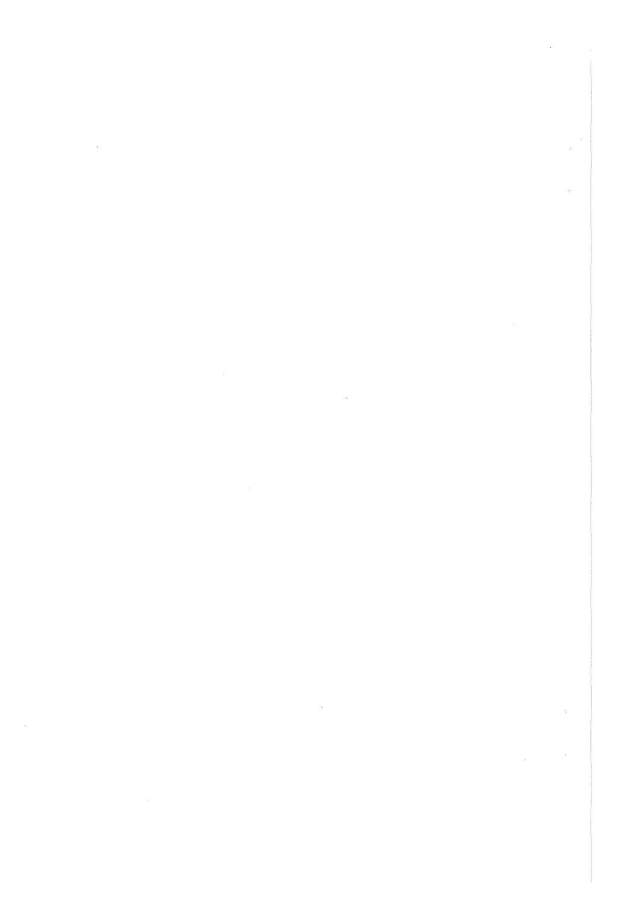$\mathcal{L}^{\text{max}}_{\text{max}}$  ,  $\mathcal{L}^{\text{max}}_{\text{max}}$ 

 $\label{eq:2} \frac{1}{2} \int_{\mathbb{R}^3} \frac{1}{\sqrt{2}} \, \frac{1}{\sqrt{2}} \, \frac{1}{\sqrt{2}} \, \frac{1}{\sqrt{2}} \, \frac{1}{\sqrt{2}} \, \frac{1}{\sqrt{2}} \, \frac{1}{\sqrt{2}} \, \frac{1}{\sqrt{2}} \, \frac{1}{\sqrt{2}} \, \frac{1}{\sqrt{2}} \, \frac{1}{\sqrt{2}} \, \frac{1}{\sqrt{2}} \, \frac{1}{\sqrt{2}} \, \frac{1}{\sqrt{2}} \, \frac{1}{\sqrt{2}} \, \frac{1}{\sqrt{2}} \, \frac$  $\mathcal{L}(\mathcal{E})$ 

 $\label{eq:2.1} \frac{1}{\sqrt{2}}\left(\frac{1}{\sqrt{2}}\right)^{2} \left(\frac{1}{\sqrt{2}}\right)^{2} \left(\frac{1}{\sqrt{2}}\right)^{2} \left(\frac{1}{\sqrt{2}}\right)^{2} \left(\frac{1}{\sqrt{2}}\right)^{2} \left(\frac{1}{\sqrt{2}}\right)^{2} \left(\frac{1}{\sqrt{2}}\right)^{2} \left(\frac{1}{\sqrt{2}}\right)^{2} \left(\frac{1}{\sqrt{2}}\right)^{2} \left(\frac{1}{\sqrt{2}}\right)^{2} \left(\frac{1}{\sqrt{2}}\right)^{2} \left(\$  $\sim 6$  .  $\label{eq:2.1} \mathcal{L}_{\text{max}} = \frac{1}{2} \sum_{i=1}^{N} \frac{1}{2} \sum_{i=1}^{N} \frac{1}{2} \sum_{i=1}^{N} \frac{1}{2} \sum_{i=1}^{N} \frac{1}{2} \sum_{i=1}^{N} \frac{1}{2} \sum_{i=1}^{N} \frac{1}{2} \sum_{i=1}^{N} \frac{1}{2} \sum_{i=1}^{N} \frac{1}{2} \sum_{i=1}^{N} \frac{1}{2} \sum_{i=1}^{N} \frac{1}{2} \sum_{i=1}^{N} \frac{1}{2} \sum_{i=$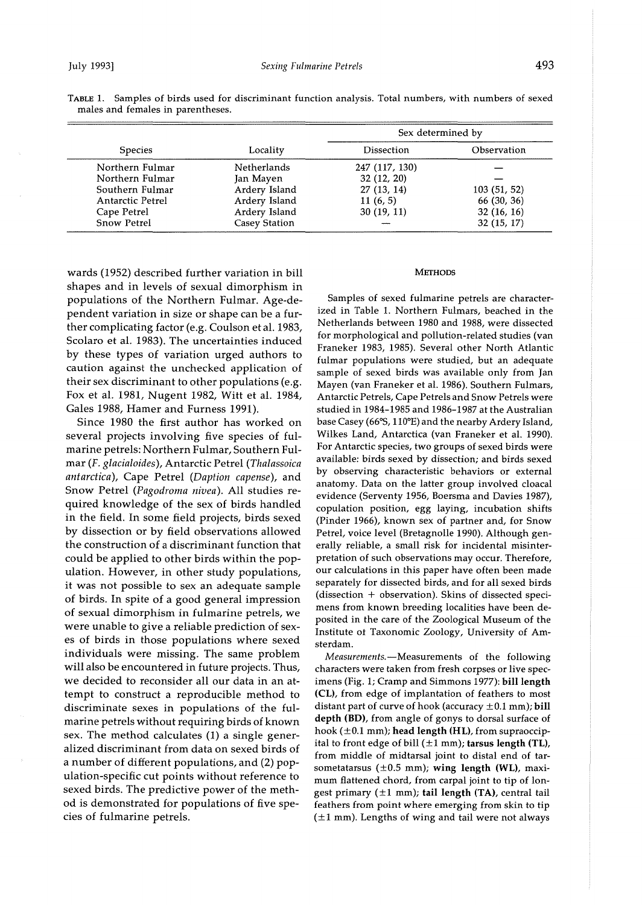|                  |               | Sex determined by |             |  |
|------------------|---------------|-------------------|-------------|--|
| <b>Species</b>   | Locality      | Dissection        | Observation |  |
| Northern Fulmar  | Netherlands   | 247 (117, 130)    |             |  |
| Northern Fulmar  | Jan Mayen     | 32 (12, 20)       |             |  |
| Southern Fulmar  | Ardery Island | 27(13, 14)        | 103(51, 52) |  |
| Antarctic Petrel | Ardery Island | 11(6, 5)          | 66 (30, 36) |  |
| Cape Petrel      | Ardery Island | 30(19, 11)        | 32(16, 16)  |  |
| Snow Petrel      | Casey Station |                   | 32(15, 17)  |  |

TABLE I. Samples of birds used for discriminant function analysis. Total numbers, with numbers of sexed males and females in parentheses.

wards (1952) described further variation in bill shapes and in levels of sexual dimorphism in populations of the Northern Fulmar. Age-dependent variation in size or shape can be a further complicating factor (e.g. Coulson et al. 1983, Scolaro et al. 1983). The uncertainties induced by these types of variation urged authors to caution against the unchecked application of their sex discriminant to other populations (e.g. Fox et al. 1981, Nugent 1982, Witt et al. 1984, Gales 1988, Hamer and Furness 1991).

Since 1980 the first author has worked on several projects involving five species of fulmarine petrels: Northern Fulmar, Southern Fulmar *(F. glacialoides),* Antarctic Petrel *(Thalassoica antarctica),* Cape Petrel *(Daption capense),* and Snow Petrel *(Pagodroma nivea).* All studies required knowledge of the sex of birds handled in the field. In some field projects, birds sexed by dissection or by field observations allowed the construction of a discriminant function that could be applied to other birds within the population. However, in other study populations, it was not possible to sex an adequate sample of birds. In spite of a good general impression of sexual dimorphism in fulmarine petrels, we were unable to give a reliable prediction of sexes of birds in those populations where sexed individuals were missing. The same problem will also be encountered in future projects. Thus, we decided to reconsider all our data in an attempt to construct a reproducible method to discriminate sexes in populations of the fulmarine petrels without requiring birds of known sex. The method calculates (1) a single generalized discriminant from data on sexed birds of a number of different populations, and (2) population-specific cut points without reference to sexed birds. The predictive power of the method is demonstrated for populations of five species of fulmarine petrels.

## METHODS

Samples of sexed fulmarine petrels are characterized in Table I. Northern Fulmars, beached in the Netherlands between 1980 and 1988, were dissected for morphological and pollution-related studies (van Franeker 1983, 1985). Several other North Atlantic fulmar populations were studied, but an adequate sample of sexed birds was available only from Jan Mayen (van Franeker et al. 1986). Southern Fulmars, Antarctic Petrels, Cape Petrels and Snow Petrels were studied in 1984-1985 and 1986-1987 at the Australian base Casey (66°S, 110°E) and the nearby Ardery Island, Wilkes Land, Antarctica (van Franeker et al. 1990). For Antarctic species, two groups of sexed birds were available: birds sexed by dissection; and birds sexed by observing characteristic behaviors or external anatomy. Data on the latter group involved cloacal evidence (Serventy 1956, Boersma and Davies 1987), copulation position, egg laying, incubation shifts (Pinder 1966), known sex of partner and, for Snow Petrel, voice level (Bretagnolle 1990). Although generally reliable, a small risk for incidental misinterpretation of such observations may occur. Therefore, our calculations in this paper have often been made separately for dissected birds, and for all sexed birds (dissection + observation). Skins of dissected specimens from known breeding localities have been deposited in the care of the Zoological Museum of the Institute ot Taxonomic Zoology, University of Amsterdam.

*Measurements.-Measurements* of the following characters were taken from fresh corpses or live specimens (Fig. I; Cramp and Simmons 1977): **bill length (CL),** from edge of implantation of feathers to most distant part of curve of hook (accuracy ±0.1 mm); **bill depth (BD),** from angle of gonys to dorsal surface of hook (±0.1 mm); **head length (HL),** from supraoccipital to front edge of bill (±1 mm); **tarsus length (TL),**  from middle of midtarsal joint to distal end of tarsometatarsus (±0.5 mm); **wing length (WL),** maximum flattened chord, from carpal joint to tip of longest primary (±1 mm); **tail length (TA),** central tail feathers from point where emerging from skin to tip  $(\pm 1$  mm). Lengths of wing and tail were not always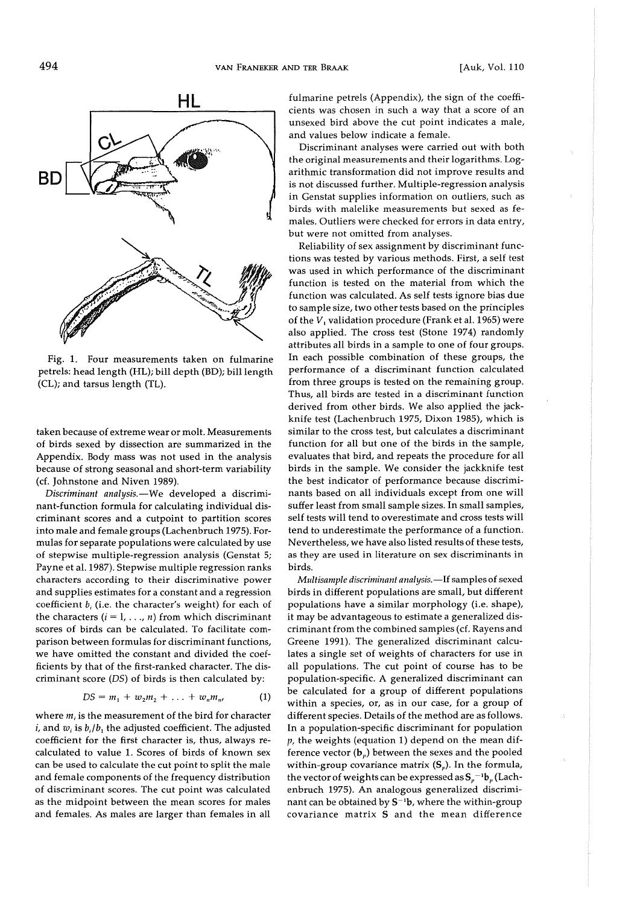

Fig. 1. Four measurements taken on fulmarine petrels: head length (HL); bill depth (BD); bill length (CL); and tarsus length (TL).

taken because of extreme wear or molt. Measurements of birds sexed by dissection are summarized in the Appendix. Body mass was not used in the analysis because of strong seasonal and short-term variability (c£. Johnstone and Niven 1989).

*Discriminant analysis.-We* developed a discriminant-function formula for calculating individual discriminant scores and a cutpoint to partition scores into male and female groups (Lachenbruch 1975). Formulas for separate populations were calculated by use of stepwise multiple-regression analysis (Genstat 5; Payne et al. 1987). Stepwise multiple regression ranks characters according to their discriminative power and supplies estimates for a constant and a regression coefficient *b,* (i.e. the character's weight) for each of the characters  $(i = 1, ..., n)$  from which discriminant scores of birds can be calculated. To facilitate comparison between formulas for discriminant functions, we have omitted the constant and divided the coefficients by that of the first-ranked character. The discriminant score (DS) of birds is then calculated by:

$$
DS = m_1 + w_2 m_2 + \ldots + w_n m_n, \qquad (1)
$$

where *m,* is the measurement of the bird for character  $i$ , and  $w_i$  is  $b_i/b_i$  the adjusted coefficient. The adjusted coefficient for the first character is, thus, always recalculated to value 1. Scores of birds of known sex can be used to calculate the cut point to split the male and female components of the frequency distribution of discriminant scores. The cut point was calculated as the midpoint between the mean scores for males and females. As males are larger than females in all

fulmarine petrels (Appendix), the sign of the coefficients was chosen in such a way that a score of an unsexed bird above the cut point indicates a male, and values below indicate a female.

Discriminant analyses were carried out with both the original measurements and their logarithms. Logarithmic transformation did not improve results and is not discussed further. Multiple-regression analysis in Genstat supplies information on outliers, such as birds with malelike measurements but sexed as females. Outliers were checked for errors in data entry, but were not omitted from analyses.

Reliability of sex assignment by discriminant functions was tested by various methods. First, a self test was used in which performance of the discriminant function is tested on the material from which the function was calculated. As self tests ignore bias due to sample size, two other tests based on the principles of the V, validation procedure (Frank et al. 1965) were also applied. The cross test (Stone 1974) randomly attributes all birds in a sample to one of four groups. In each possible combination of these groups, the performance of a discriminant function calculated from three groups is tested on the remaining group. Thus, all birds are tested in a discriminant function derived from other birds. We also applied the jackknife test (Lachenbruch 1975, Dixon 1985), which is similar to the cross test, but calculates a discriminant function for all but one of the birds in the sample, evaluates that bird, and repeats the procedure for all birds in the sample. We consider the jackknife test the best indicator of performance because discriminants based on all individuals except from one will suffer least from small sample sizes. In small samples, self tests will tend to overestimate and cross tests will tend to underestimate the performance of a function. Nevertheless, we have also listed results of these tests, as they are used in literature on sex discriminants in birds.

*Multisample discriminant analysis.-*If samples of sexed birds in different populations are small, but different populations have a similar morphology (i.e. shape), it may be advantageous to estimate a generalized discriminant from the combined samples (c£. Rayens and Greene 1991). The generalized discriminant calculates a single set of weights of characters for use in all populations. The cut point of course has to be population-specific. A generalized discriminant can be calculated for a group of different populations within a species, or, as in our case, for a group of different species. Details of the method are as follows. In a population-specific discriminant for population  $p$ , the weights (equation 1) depend on the mean difference vector  $(b<sub>v</sub>)$  between the sexes and the pooled within-group covariance matrix  $(S_p)$ . In the formula, the vector of weights can be expressed as  $S_p^{-1}b_p$  (Lachenbruch 1975). An analogous generalized discriminant can be obtained by  $S^{-1}b$ , where the within-group covariance matrix S and the mean difference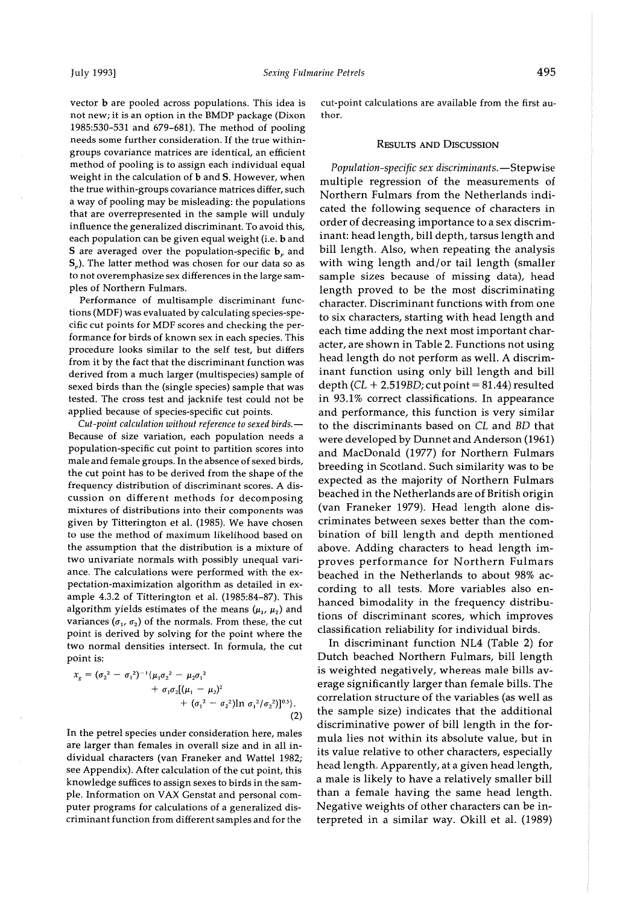vector b are pooled across populations. This idea is not new; it is an option in the BMDP package (Dixon 1985:530-531 and 679-681). The method of pooling needs some further consideration. If the true withingroups covariance matrices are identical, an efficient method of pooling is to assign each individual equal weight in the calculation of **b** and **S**. However, when the true within-groups covariance matrices differ, such a way of pooling may be misleading: the populations that are overrepresented in the sample will unduly influence the generalized discriminant. To avoid this, each population can be given equal weight (i.e. **b** and S are averaged over the population-specific **b**<sub>n</sub> and  $S_n$ ). The latter method was chosen for our data so as to not overemphasize sex differences in the large samples of Northern Fulmars.

Performance of multisample discriminant functions (MDF) was evaluated by calculating species-specific cut points for MDF scores and checking the performance for birds of known sex in each species. This procedure looks similar to the self test, but differs from it by the fact that the discriminant function was derived from a much larger (multispecies) sample of sexed birds than the (single species) sample that was tested. The cross test and jacknife test could not be applied because of species-specific cut points.

*Cut-point calculation without reference to sexed birds.-* Because of size variation, each population needs a population-specific cut point to partition scores into male and female groups. In the absence of sexed birds, the cut point has to be derived from the shape of the frequency distribution of discriminant scores. A discussion on different methods for decomposing mixtures of distributions into their components was given by Titterington et al. (1985). We have chosen to use the method of maximum likelihood based on the assumption that the distribution is a mixture of two univariate normals with possibly unequal variance. The calculations were performed with the expectation-maximization algorithm as detailed in example 4.3.2 of Titterington et al. (1985:84-87). This algorithm yields estimates of the means  $(\mu_1, \mu_2)$  and variances ( $\sigma_1$ ,  $\sigma_2$ ) of the normals. From these, the cut point is derived by solving for the point where the two normal densities intersect. In formula, the cut point is:

$$
x_{g} = (\sigma_{2}^{2} - \sigma_{1}^{2})^{-1} \{ \mu_{1} \sigma_{2}^{2} - \mu_{2} \sigma_{1}^{2} + \sigma_{1} \sigma_{2} [ (\mu_{1} - \mu_{2})^{2} + (\sigma_{1}^{2} - \sigma_{2}^{2})] n \sigma_{1}^{2} / (\sigma_{2}^{2}) ]^{0.5} \}.
$$
\n(2)

In the petrel species under consideration here, males are larger than females in overall size and in all individual characters (van Franeker and Wattel 1982; see Appendix). After calculation of the cut point, this knowledge suffices to assign sexes to birds in the sample. Information on VAX Genstat and personal computer programs for calculations of a generalized discriminant function from different samples and for the cut-point calculations are available from the first author.

### RESULTS AND DISCUSSION

*Population-specific sex discriminants.-Stepwise*  multiple regression of the measurements of Northern Fulmars from the Netherlands indicated the following sequence of characters in order of decreasing importance to a sex discriminant: head length, bill depth, tarsus length and bill length. Also, when repeating the analysis with wing length and/or tail length (smaller sample sizes because of missing data), head length proved to be the most discriminating character. Discriminant functions with from one to six characters, starting with head length and each time adding the next most important character, are shown in Table 2. Functions not using head length do not perform as well. A discriminant function using only bill length and bill depth  $CL + 2.519BD$ ; cut point = 81.44) resulted in 93.1% correct classifications. In appearance and performance, this function is very similar to the discriminants based on *CL* and *BD* that were developed by Dunnet and Anderson (1961) and MacDonald (1977) for Northern Fulmars breeding in Scotland. Such similarity was to be expected as the majority of Northern Fulmars beached in the Netherlands are of British origin (van Franeker 1979). Head length alone discriminates between sexes better than the combination of bill length and depth mentioned above. Adding characters to head length improves performance for Northern Fulmars beached in the Netherlands to about 98% according to all tests. More variables also enhanced bimodality in the frequency distributions of discriminant scores, which improves classification reliability for individual birds.

In discriminant function NL4 (Table 2) for Dutch beached Northern Fulmars, bill length is weighted negatively, whereas male bills average significantly larger than female bills. The correlation structure of the variables (as well as the sample size) indicates that the additional discriminative power of bill length in the formula lies not within its absolute value, but in its value relative to other characters, especially head length. Apparently, at a given head length, a male is likely to have a relatively smaller bill than a female having the same head length. Negative weights of other characters can be interpreted in a similar way. Okill et al. (1989)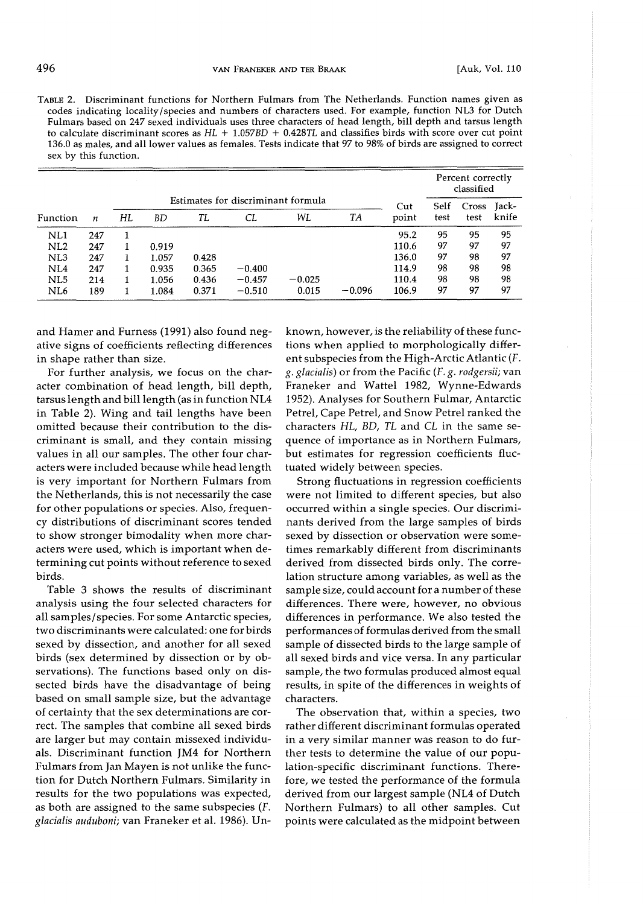| codes indicating locality/species and numbers of characters used. For example, function NL3 for Dutch<br>Fulmars based on 247 sexed individuals uses three characters of head length, bill depth and tarsus length<br>to calculate discriminant scores as $HL + 1.057BD + 0.428TL$ and classifies birds with score over cut point |
|-----------------------------------------------------------------------------------------------------------------------------------------------------------------------------------------------------------------------------------------------------------------------------------------------------------------------------------|
|                                                                                                                                                                                                                                                                                                                                   |
|                                                                                                                                                                                                                                                                                                                                   |
|                                                                                                                                                                                                                                                                                                                                   |
| 136.0 as males, and all lower values as females. Tests indicate that 97 to 98% of birds are assigned to correct                                                                                                                                                                                                                   |
| sex by this function.                                                                                                                                                                                                                                                                                                             |

|                                    |                  |    |       |       |          |          |          |       | Percent correctly<br>classified |       |       |
|------------------------------------|------------------|----|-------|-------|----------|----------|----------|-------|---------------------------------|-------|-------|
| Estimates for discriminant formula |                  |    |       |       |          |          | Cut      | Self  | Cross                           | Tack- |       |
| Function                           | $\boldsymbol{n}$ | HL | ВD    | TL    | CL       | WL       | TA       | point | test                            | test  | knife |
| NL1                                | 247              |    |       |       |          |          |          | 95.2  | 95                              | 95    | 95    |
| NL2                                | 247              |    | 0.919 |       |          |          |          | 110.6 | 97                              | 97    | 97    |
| NL3                                | 247              |    | 1.057 | 0.428 |          |          |          | 136.0 | 97                              | 98    | 97    |
| NL4                                | 247              |    | 0.935 | 0.365 | $-0.400$ |          |          | 114.9 | 98                              | 98    | 98    |
| NL5                                | 214              |    | 1.056 | 0.436 | $-0.457$ | $-0.025$ |          | 110.4 | 98                              | 98    | 98    |
| NL6                                | 189              |    | 1.084 | 0.371 | $-0.510$ | 0.015    | $-0.096$ | 106.9 | 97                              | 97    | 97    |

and Hamer and Furness (1991) also found negative signs of coefficients reflecting differences in shape rather than size.

For further analysis, we focus on the character combination of head length, bill depth, tarsus length and bill length (as in function NL4 in Table 2). Wing and tail lengths have been omitted because their contribution to the discriminant is small, and they contain missing values in all our samples. The other four characters were included because while head length is very important for Northern Fulmars from the Netherlands, this is not necessarily the case for other populations or species. Also, frequency distributions of discriminant scores tended to show stronger bimodality when more characters were used, which is important when determining cut points without reference to sexed birds.

Table 3 shows the results of discriminant analysis using the four selected characters for all samples/species. For some Antarctic species, two discriminants were calculated: one for birds sexed by dissection, and another for all sexed birds (sex determined by dissection or by observations). The functions based only on dissected birds have the disadvantage of being based on small sample size, but the advantage of certainty that the sex determinations are correct. The samples that combine all sexed birds are larger but may contain missexed individuals. Discriminant function JM4 for Northern Fulmars from Jan Mayen is not unlike the function for Dutch Northern Fulmars. Similarity in results for the two populations was expected, as both are assigned to the same subspecies (F. *glacialis auduboni;* van Franeker et al. 1986). Un-

known, however, is the reliability of these functions when applied to morphologically different subspecies from the High-Arctic Atlantic (F. *g. glacialis)* or from the Pacific (F. *g. rodgersii;* van Franeker and Wattel 1982, Wynne-Edwards 1952). Analyses for Southern Fulmar, Antarctic Petrel, Cape Petrel, and Snow Petrel ranked the characters HL, BD, TL and CL in the same sequence of importance as in Northern Fulmars, but estimates for regression coefficients fluctuated widely between species.

Strong fluctuations in regression coefficients were not limited to different species, but also occurred within a single species. Our discriminants derived from the large samples of birds sexed by dissection or observation were sometimes remarkably different from discriminants derived from dissected birds only. The correlation structure among variables, as well as the sample size, could account for a number of these differences. There were, however, no obvious differences in performance. We also tested the performances of formulas derived from the small sample of dissected birds to the large sample of all sexed birds and vice versa. In any particular sample, the two formulas produced almost equal results, in spite of the differences in weights of characters.

The observation that, within a species, two rather different discriminant formulas operated in a very similar manner was reason to do further tests to determine the value of our population-specific discriminant functions. Therefore, we tested the performance of the formula derived from our largest sample (NL4 of Dutch Northern Fulmars) to all other samples. Cut points were calculated as the midpoint between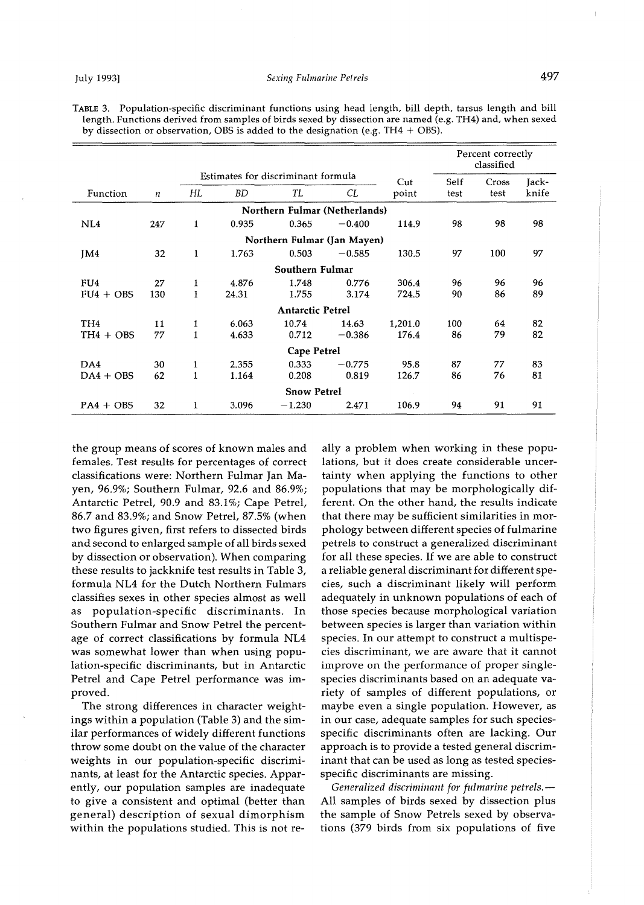|                               |                  |              |                                    |          |          | Percent correctly<br>classified |      |       |       |  |
|-------------------------------|------------------|--------------|------------------------------------|----------|----------|---------------------------------|------|-------|-------|--|
|                               |                  |              | Estimates for discriminant formula |          |          |                                 | Self | Cross | Jack- |  |
| Function                      | $\boldsymbol{n}$ | HL           | BD                                 | TL       | CL.      | Cut<br>point                    | test | test  | knife |  |
| Northern Fulmar (Netherlands) |                  |              |                                    |          |          |                                 |      |       |       |  |
| NL4                           | 247              | $\mathbf{1}$ | 0.935                              | 0.365    | $-0.400$ | 114.9                           | 98   | 98    | 98    |  |
| Northern Fulmar (Jan Mayen)   |                  |              |                                    |          |          |                                 |      |       |       |  |
| IM4                           | 32               | 1            | 1.763                              | 0.503    | $-0.585$ | 130.5                           | 97   | 100   | 97    |  |
| Southern Fulmar               |                  |              |                                    |          |          |                                 |      |       |       |  |
| FU4                           | 27               | 1            | 4.876                              | 1.748    | 0.776    | 306.4                           | 96   | 96    | 96    |  |
| $FU4 + OBS$                   | 130              | 1            | 24.31                              | 1.755    | 3.174    | 724.5                           | 90   | 86    | 89    |  |
| <b>Antarctic Petrel</b>       |                  |              |                                    |          |          |                                 |      |       |       |  |
| TH4                           | 11               | 1            | 6.063                              | 10.74    | 14.63    | 1,201.0                         | 100  | 64    | 82    |  |
| $TH4 + OB5$                   | 77               | 1            | 4.633                              | 0.712    | $-0.386$ | 176.4                           | 86   | 79    | 82    |  |
| Cape Petrel                   |                  |              |                                    |          |          |                                 |      |       |       |  |
| DA4                           | 30               | 1            | 2.355                              | 0.333    | $-0.775$ | 95.8                            | 87   | 77    | 83    |  |
| $DA4 + OBS$                   | 62               | $\mathbf{1}$ | 1.164                              | 0.208    | 0.819    | 126.7                           | 86   | 76    | 81    |  |
| <b>Snow Petrel</b>            |                  |              |                                    |          |          |                                 |      |       |       |  |
| $PA4 + OBS$                   | 32               | 1            | 3.096                              | $-1.230$ | 2.471    | 106.9                           | 94   | 91    | 91    |  |

TABLE 3. Population-specific discriminant functions using head length, bill depth, tarsus length and bill length. Functions derived from samples of birds sexed by dissection are named (e.g. TH4) and, when sexed by dissection or observation, OBS is added to the designation (e.g. TH4 + OBS).

the group means of scores of known males and females. Test results for percentages of correct classifications were: Northern Fulmar Jan Mayen, 96.9%; Southern Fulmar, 92.6 and 86.9%; Antarctic Petrel, 90.9 and 83.1%; Cape Petrel, 86.7 and 83.9%; and Snow Petrel, 87.5% (when two figures given, first refers to dissected birds and second to enlarged sample of all birds sexed by dissection or observation). When comparing these results to jackknife test results in Table 3, formula NL4 for the Dutch Northern Fulmars classifies sexes in other species almost as well as population-specific discriminants. In Southern Fulmar and Snow Petrel the percentage of correct classifications by formula NL4 was somewhat lower than when using population-specific discriminants, but in Antarctic Petrel and Cape Petrel performance was improved.

The strong differences in character weightings within a population (Table 3) and the similar performances of widely different functions throw some doubt on the value of the character weights in our population-specific discriminants, at least for the Antarctic species. Apparently, our population samples are inadequate to give a consistent and optimal (better than general) description of sexual dimorphism within the populations studied. This is not re-

ally a problem when working in these populations, but it does create considerable uncertainty when applying the functions to other populations that may be morphologically different. On the other hand, the results indicate that there may be sufficient similarities in morphology between different species of fulmarine petrels to construct a generalized discriminant for all these species. If we are able to construct a reliable general discriminant for different species, such a discriminant likely will perform adequately in unknown populations of each of those species because morphological variation between species is larger than variation within species. In our attempt to construct a multispecies discriminant, we are aware that it cannot improve on the performance of proper singlespecies discriminants based on an adequate variety of samples of different populations, or maybe even a single population. However, as in our case, adequate samples for such speciesspecific discriminants often are lacking. Our approach is to provide a tested general discriminant that can be used as long as tested speciesspecific discriminants are missing.

*Generalized discriminant for fulmarine petrels.-* All samples of birds sexed by dissection plus the sample of Snow Petrels sexed by observations (379 birds from six populations of five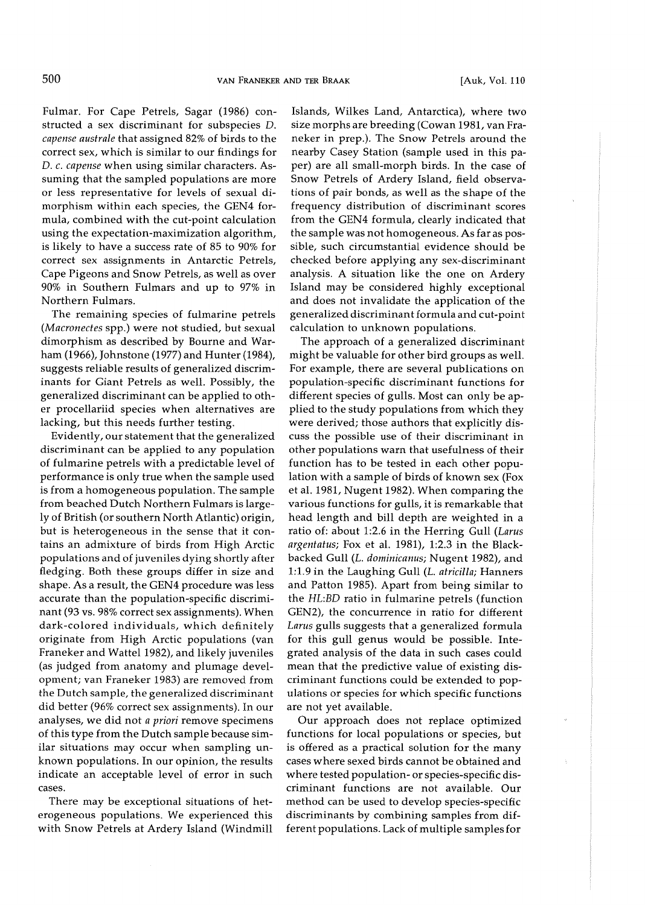Fulmar. For Cape Petrels, Sagar (1986) constructed a sex discriminant for subspecies D. *capense australe* that assigned 82% of birds to the correct sex, which is similar to our findings for D. c. *capense* when using similar characters. Assuming that the sampled populations are more or less representative for levels of sexual dimorphism within each species, the GEN4 formula, combined with the cut-point calculation using the expectation-maximization algorithm, is likely to have a success rate of 85 to 90% for correct sex assignments in Antarctic Petrels, Cape Pigeons and Snow Petrels, as well as over 90% in Southern Fulmars and up to 97% in Northern Fulmars.

The remaining species of fulmarine petrels *(Macronectes* spp.) were not studied, but sexual dimorphism as described by Bourne and Warham (1966), Johnstone (1977) and Hunter (1984), suggests reliable results of generalized discriminants for Giant Petrels as well. Possibly, the generalized discriminant can be applied to other procellariid species when alternatives are lacking, but this needs further testing.

Evidently, our statement that the generalized discriminant can be applied to any population of fulmarine petrels with a predictable level of performance is only true when the sample used is from a homogeneous population. The sample from beached Dutch Northern Fulmars is largely of British (or southern North Atlantic) origin, but is heterogeneous in the sense that it contains an admixture of birds from High Arctic populations and of juveniles dying shortly after fledging. Both these groups differ in size and shape. As a result, the GEN4 procedure was less accurate than the population-specific discriminant (93 vs. 98% correct sex assignments). When dark-colored individuals, which definitely originate from High Arctic populations (van Franeker and Wattel 1982), and likely juveniles (as judged from anatomy and plumage development; van Franeker 1983) are removed from the Dutch sample, the generalized discriminant did better (96% correct sex assignments). In our analyses, we did not *a priori* remove specimens of this type from the Dutch sample because similar situations may occur when sampling unknown populations. In our opinion, the results indicate an acceptable level of error in such cases.

There may be exceptional situations of heterogeneous populations. We experienced this with Snow Petrels at Ardery Island (Windmill

Islands, Wilkes Land, Antarctica), where two size morphs are breeding (Cowan 1981, van Franeker in prep.). The Snow Petrels around the nearby Casey Station (sample used in this paper) are all small-morph birds. In the case of Snow Petrels of Ardery Island, field observations of pair bonds, as well as the shape of the frequency distribution of discriminant scores from the GEN4 formula, clearly indicated that the sample was not homogeneous. As far as possible, such circumstantial evidence should be checked before applying any sex-discriminant analysis. A situation like the one on Ardery Island may be considered highly exceptional and does not invalidate the application of the generalized discriminant formula and cut-point calculation to unknown populations.

The approach of a generalized discriminant might be valuable for other bird groups as well. For example, there are several publications on population-specific discriminant functions for different species of gulls. Most can only be applied to the study populations from which they were derived; those authors that explicitly discuss the possible use of their discriminant in other populations warn that usefulness of their function has to be tested in each other population with a sample of birds of known sex (Fox et al. 1981, Nugent 1982). When comparing the various functions for gulls, it is remarkable that head length and bill depth are weighted in a ratio of: about 1:2.6 in the Herring Gull *(Larus argentatus;* Fox et al. 1981), 1:2.3 in the Blackbacked Gull (L. *dominicanus;* Nugent 1982), and 1:1.9 in the Laughing Gull (L. *atricilla;* Hanners and Patton 1985). Apart from being similar to the *HL:BD* ratio in fulmarine petrels (function GEN2), the concurrence in ratio for different *Larus* gulls suggests that a generalized formula for this gull genus would be possible. Integrated analysis of the data in such cases could mean that the predictive value of existing discriminant functions could be extended to populations or species for which specific functions are not yet available.

Our approach does not replace optimized functions for local populations or species, but is offered as a practical solution for the many cases where sexed birds cannot be obtained and where tested population- or species-specific discriminant functions are not available. Our method can be used to develop species-specific discriminants by combining samples from different populations. Lack of multiple samples for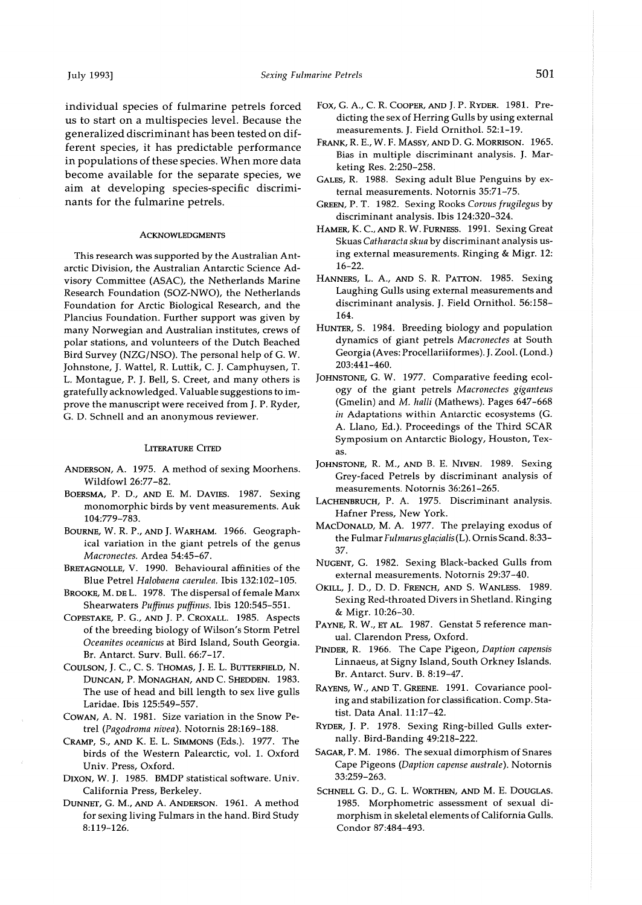individual species of fulmarine petrels forced us to start on a multispecies level. Because the generalized discriminant has been tested on different species, it has predictable performance in populations of these species. When more data become available for the separate species, we aim at developing species-specific discriminants for the fulmarine petrels.

#### ACKNOWLEDGMENTS

This research was supported by the Australian Antarctic Division, the Australian Antarctic Science Advisory Committee (ASAC), the Netherlands Marine Research Foundation (SOZ-NWO), the Netherlands Foundation for Arctic Biological Research, and the Plancius Foundation. Further support was given by many Norwegian and Australian institutes, crews of polar stations, and volunteers of the Dutch Beached Bird Survey (NZG/NSO). The personal help of G. W. Johnstone, J. Wattel, R. Luttik, C. J. Camphuysen, T. L. Montague, P. J. Bell, S. Creet, and many others is gratefully acknowledged. Valuable suggestions to improve the manuscript were received from J.P. Ryder, G. D. Schnell and an anonymous reviewer.

#### LITERATURE CiTED

- ANDERSON, A. 1975. A method of sexing Moorhens. Wildfowl 26:77-82.
- BOERSMA, P. D., AND E. M. DAVIES. 1987. Sexing monomorphic birds by vent measurements. Auk 104:779-783.
- BOURNE, W. R. P., AND **J.** WARHAM. 1966. Geographical variation in the giant petrels of the genus *Macronectes.* Ardea 54:45-67.
- BRETAGNOLLE, V. 1990. Behavioural affinities of the Blue Petrel *Halobaena caerulea.* Ibis 132:102-105.
- BROOKE, M. DEL. 1978. The dispersal of female Manx Shearwaters *Puffinus puffinus.* Ibis 120:545-551.
- COPESTAKE, P. G., AND J.P. CROXALL. 1985. Aspects of the breeding biology of Wilson's Storm Petrel *Oceanites oceanicus* at Bird Island, South Georgia. Br. Antarct. Surv. Bull. 66:7-17.
- COULSON, J. C., C. S. THOMAS, J. E. L. BUTTERFIELD, N. DUNCAN, P. MONAGHAN, AND C. SHEDDEN. 1983. The use of head and bill length to sex live gulls Laridae. Ibis 125:549-557.
- CowAN, A. N. 1981. Size variation in the Snow Petrel *(Pagodroma nivea).* Notornis 28:169-188.
- CRAMP, S., AND K. E. L. SIMMONS (Eds.). 1977. The birds of the Western Palearctic, vol. 1. Oxford Univ. Press, Oxford.
- DIXON, W. **J.** 1985. BMDP statistical software. Univ. California Press, Berkeley.
- DUNNET, G. M., AND A. ANDERSON. 1961. A method for sexing living Fulmars in the hand. Bird Study 8:119-126.
- Fox, G. A., C. R. COOPER, AND J.P. RYDER. 1981. Predicting the sex of Herring Gulls by using external measurements. **J.** Field Ornithol. 52:1-19.
- FRANK, R. E., W. F. MASSY, AND D. G. MORRISON. 1965. Bias in multiple discriminant analysis. **J.** Marketing Res. 2:250-258.
- GALES, R. 1988. Sexing adult Blue Penguins by external measurements. Notornis 35:71-75.
- GREEN, P. T. 1982. Sexing Rooks *Corvus frugilegus* by discriminant analysis. Ibis 124:320-324.
- HAMER, K. C., AND R. W. FURNESS. 1991. Sexing Great Skuas *Catharacta skua* by discriminant analysis using external measurements. Ringing & Migr. 12: 16-22.
- HANNERS, L. A., AND S. R. PATTON. 1985. Sexing Laughing Gulls using external measurements and discriminant analysis. J. Field Ornithol. 56:158- 164.
- HUNTER, S. 1984. Breeding biology and population dynamics of giant petrels *Macronectes* at South Georgia (Aves: Procellariiformes). J. Zool. (Lond.) 203:441-460.
- JoHNSTONE, G. W. 1977. Comparative feeding ecology of the giant petrels *Macronectes giganteus*  (Gmelin) and *M. halli* (Mathews). Pages 647-668 *in* Adaptations within Antarctic ecosystems (G. A. Llano, Ed.). Proceedings of the Third SCAR Symposium on Antarctic Biology, Houston, Texas.
- JOHNSTONE, R. M., AND B. E. NIVEN. 1989. Sexing Grey-faced Petrels by discriminant analysis of measurements. Notornis 36:261-265.
- LACHENBRUCH, P. A. 1975. Discriminant analysis. Hafner Press, New York.
- MAcDoNALD, M.A. 1977. The prelaying exodus of the Fulmar Fulmarus glacialis (L). Ornis Scand. 8:33-37.
- NUGENT, G. 1982. Sexing Black-backed Gulls from external measurements. Notornis 29:37-40.
- 0KILL, J. D., D. D. FRENCH, AND S. WANLESS. 1989. Sexing Red-throated Divers in Shetland. Ringing & Migr. 10:26-30.
- PAYNE, R. W., ET AL. 1987. Genstat 5 reference manual. Clarendon Press, Oxford.
- PINDER, R. 1966. The Cape Pigeon, *Daption capensis*  Linnaeus, at Signy Island, South Orkney Islands. Br. Antarct. Surv. B. 8:19-47.
- RAYENS, W., AND T. GREENE. 1991. Covariance pooling and stabilization for classification. Comp. Statist. Data Anal. 11:17-42.
- RYDER, J. P. 1978. Sexing Ring-billed Gulls externally. Bird-Banding 49:218-222.
- SAGAR, P.M. 1986. The sexual dimorphism of Snares Cape Pigeons *(Daption capense australe).* Notornis 33:259-263.
- SCHNELL G. D., G. L. WORTHEN, AND M. E. DOUGLAS. 1985. Morphometric assessment of sexual dimorphism in skeletal elements of California Gulls. Condor 87:484-493.